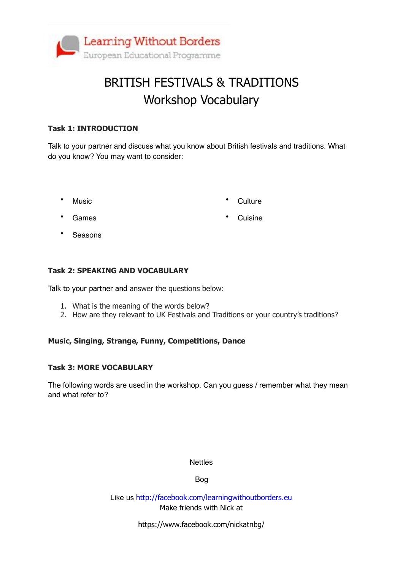

## BRITISH FESTIVALS & TRADITIONS Workshop Vocabulary

#### **Task 1: INTRODUCTION**

Talk to your partner and discuss what you know about British festivals and traditions. What do you know? You may want to consider:

• Music

• Culture

- Games
- **Seasons**

**Cuisine** 

#### **Task 2: SPEAKING AND VOCABULARY**

Talk to your partner and answer the questions below:

- 1. What is the meaning of the words below?
- 2. How are they relevant to UK Festivals and Traditions or your country's traditions?

#### **Music, Singing, Strange, Funny, Competitions, Dance**

#### **Task 3: MORE VOCABULARY**

The following words are used in the workshop. Can you guess / remember what they mean and what refer to?

**Nettles** 

Bog

Like us <http://facebook.com/learningwithoutborders.eu> Make friends with Nick at

https://www.facebook.com/nickatnbg/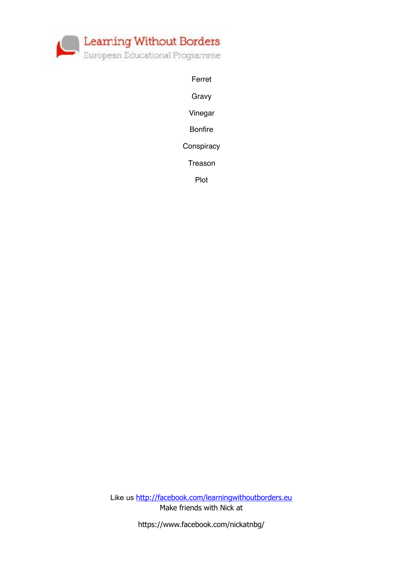

Ferret

Gravy

Vinegar

Bonfire

**Conspiracy** 

Treason

Plot

Like us <http://facebook.com/learningwithoutborders.eu> Make friends with Nick at

https://www.facebook.com/nickatnbg/